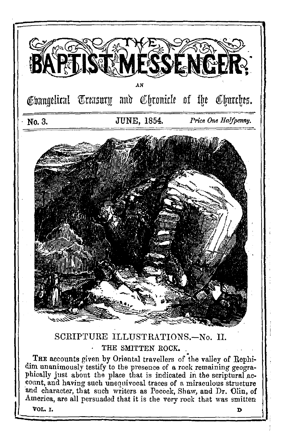

dim unanimously testify to the presence of a rock remaining geographically just about the place that is indicated in the scriptural account, and having such unequivocal traces of a miraculous structure and character that such writers as Pocock, Shaw, and Dr. Olin, of America, are all persuaded that it is the very rock that was smitten

VOL. I.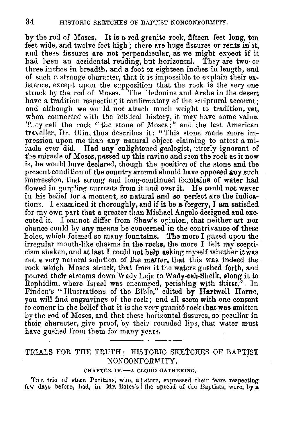by the rod of Moses. It is a red granite rock, fifteen feet long, ten feet wide, and twelve feet high; there are huge fissures or rents in it, and these fissures are not perpendicular, as we might expect if it had been an accidental rending, but horizontal. They are two· or three inches in breadth, and a foot or eighteen inches in length, and of such a strange character, that it is impossible to explain their existence, except upon the supposition that the rock is the very one struck by the rod of Moses. The Bedouins and Arabs in the desert have a tradition respecting it confirmatory of the scriptural account: and although we would not attach much weight to tradition, yet, when connected with the biblical history, it may have some value. They call the rock "the stone of Moses;" and the last American traveller, Dr. Olin, thus describes it: "This stone made more impression upon me than any natural object claiming to attest a miracle ever did. Had any enlightened geologist, utterly ignorant of the miracle of Moses, passed up this ravine and seen the rock as it now is, he would have declared, though the position of the stone and the present condition of the country around should have opposed any such impression, that strong and long-continued fountains of **water** had flowed in gurgling currents from it and over it. He could not waver in his belief for a moment, so natural and so perfect are the indications. I examined it thoroughly, and if it be a forgery, I am satisfied for my own part that a greater than Michael Angelo designed and executed it. I cannot differ from Shaw's opinion, that neither art nor chance could by any means be concerned in the contrivance of these holes, which formed so many fountains. The more I gazed upon the irregulur mouth-like chasms in the rocks, the more I felt my scepticism shaken, and at last I could not help asking myself whether it was not a very natural solution of the **matter,** that this was indeed the rock which Moses struck, that from it the waters gushed forth, and poured their streams down Wady Leja to Wady-esh-Sheik, along it to Rephidim, where Israel was encamped, perishing with thirst.'' In Finden's "Illustrations of the Bible," edited by Hartwell Horne, you will find engravings of the rock; and all seem with one consent to concur in the belief that it is the very granite rock that was smitten by the rod of Moses, and that these horizontal fissures, so peculiar in their character, give proof, by their rounded lips, that water must have gushed from them for many years.

### TRIALS FOR THE TRUTH; HISTORIC SKETCHES OF BAPTIST NONCONFORMITY.

#### CHAPTER IV.- A CLOUD GATHERING.

THE trio of stern Puritans, who, a | store, expressed their fears respecting few days before, had, in Mr. Bates's the spread of the Baptists, were, by a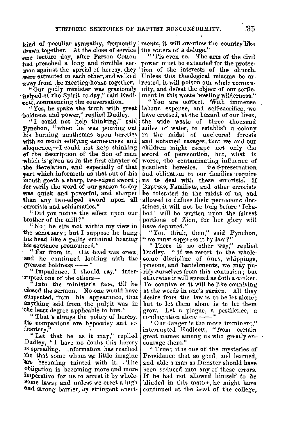kind of peculiar sympathy, frequently drawn together. At the close of service one lecture day, after Parson Cotton had preached a long and forcible sermon against the spread of heresy, they were attracted to each other, and walked away from the meeting-house together.

"Our godly minister was graciously helped of the Spirit to-day," said Endienti, commencing the conversation.

"Yes, he spake the truth with great boldness and power," replied Dudley.

"I could not help thinking," said Pynchon. "when he was pouring out his burning anathemas upon heretics with so much edifying earnestness and elognence.-I could not help thinking of the description of the Son of man which is given us in the first chapter of the Revelation, and especially of that part which informeth us that out of his mouth goeth a sharp, two-edged sword; for verily the word of our parson to-day was quick and powerful, and sharper than any two-edged sword upon all errorists and schismatics."

"Did vou notice the effect upon our brother of the mill?"

"No; he sits not within my view in the sanctuary; but I suppose he hung his head like a guilty criminal hearing his sentence pronounced."

"Far from it. His head was erect, and he continued looking with the greatest boldness ---

"Impudence, I should say." interrupted one of the others-

"Into the minister's face, till he closed the sermon. No one would have suspected, from his appearance, that anything said from the pulpit was in the least degree applicable to him."

"That's always the policy of heresy. Its companions are hypocrisy and effrontery.

"Let that be as it may," replied Dudley, "I have no doubt this heresy is spreading. Information has reached me that some whom we little imagine are becoming tainted with it. The obligation is becoming more and more imperative for us to arrest it by wholesome laws; and unless we erect a high and strong barrier, by stringent enact-

ments, it will overflow the country like the waters of a deluge."

"Tis even so. The arm of the civil power must be extended for the protection of the interests of the church. Unless this theological miasma be arrested, it will poison our whole community, and defeat the object of our settlement in this waste howling wilderness."

"You are correct. With immense labour, expense, and self-sacrifice, we have crossed, at the hazard of our lives. the wide waste of three thousand miles of water, to establish a colony in the midst of uncleared forests and untamed savages, that we and our children might escape not only the sword of persecution, but, what is worse, the contaminating influence of pestilent heresies. Self-preservation and obligation to our families require us to deal with these errorists. If Baptists, Familists, and other errorists be tolerated in the midst of us, and allowed to diffuse their pernicious doctrines, it will not be long before 'Ichabod' will be written upon the fairest portions of Zion, for her glory will have departed."

"You think, then," said Pynchon, " we must suppress it by law?"

"There is no other way," replied Dudley. "If we resort to the wholesome discipline of fines, whippings, prisons, and banishments, we may purify ourselves from this contagion: but otherwise it will spread as doth a canker. To counive at it will be like couniving at the weeds in one's garden. All they desire from the law is to be let alone; but to let them alone is to let them grow. Let a plague, a pestilence, a conflagration alone ----

"Our danger is the more imminent," interrupted Endicott, "from certain great names among us who greatly encourage them."

"True; it is one of the mysteries of Providence that so good, and learned. and able a man as Dunster should have been seduced into any of these errors. If he had not allowed himself to be blinded in this matter, he might have continued at the head of the college.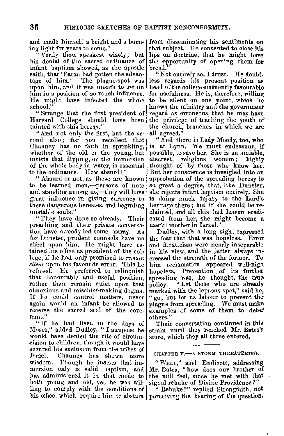and made himself a bright and a burn-1 ing light for years to come."

" Verily thou speakest wisely; but his denial of the sacred ordinance of infant baptism showed, as the apostle saith, that 'Satan had gotten the advantage of him.' The plague-spot was upon him, and it was unsafe to retain him in a position of so much influence. He might have infected the whole school."

" Strange that the first president of Harvard College should have been tainted with this heresy."

"And not only the fir~t, but tlie se- coml also ; for you recollect that Channey has no faith in sprinkling, whether of the old or the young, but insists that dipping, or the immersion of the whole body in water, is essential to the ordinance. How absurd!"

" Absurd or not, as these are known to be learned men,-persons of note and standing among us,-they will have great influence in giving currency to these dangerous heresies, and beguiling unstahle souls."

" They have done so already. Their preaching and their private conversa- tion have already led some astray. As for Dunster, prudent counsels have no effect upon him. He might have re- tained his office as president of the college, if he had only promised to *remain silent* upon his favourite error. This he refnsed. He prefened to relinquish that honourable and useful position. rather than remain quiet upon that obnoxious and mischief-making dogma. If he could control matters, never<br>again would an infant be allowed to receive the sacred seal of the cove-<br>nant."

"If he had lived in the days of Moses," added Dudley, "I suppose he would have denied the rite of circumcision to children, though it would have secured his exclusion from the tribes of Israel. Channey has shown more wisdom. Though he insists that im• mersion only is valid baptism, and has administered it in that mode to both young and old, yet he was willing to comply with the conditions of his office, which require him to abstain perceiving the bearing of the question.

from disseminating his sentiments on that subject. He consented to close his lips on doctrine, that he might have the opportunity of opening them **for**  bread.''

"Not entirely so, I trust. He doubt-<br>less regards his present position as head of the college eminently favourable for usefulness. He is, therefore, willing to be silent on one point, which he knows the ministry and the government regard as erroneous, **tha\_t** he may have the privilege of teaching the youth of the church, branches in which we are all agreed.'.'

"And there is Lady Moody, too, who is at Lynn. We must endeavour, if possible, to save her. She is an amiable, discreet, religious woman; thought of by those who know her. But her conscience is inveigled into an approbation, of the spreading heresy to so great a degree, that, like Dunster, she rejects infant baptism entirely. She is doing much injury to the Lord's heritage there ; but if she could be re• claimed, and all this bad leaven eradi• cated from her, she might become a useful mother in Israel."

Dudley, with a long sigh, expressed the fear that that was hopeless. Error and fanaticism were nearly inseparable in his view, and the latter always increased the strength of the former. To him reclamation appeared well-nigh hopeless. Prevention of its further spreading was, he thought, the true policy. "Let those who are already marked with the leprous spot," said he, " go; but let us labour to prevent the plague from spreading. We must make examples of some of them to deter others."

Their conversation continued in this strain until they reached Mr. Bates's store, which they all three entered.

#### CHAPTER V.-A STORM THREATENING.

"\V~:LL," said Endicott, 11.ddressing Mr. Dates, "how does our brother of the mill feel, since he met with that signal rebuke of Divine Providence?"

" Rebuke?" replied Strongfaith, **not**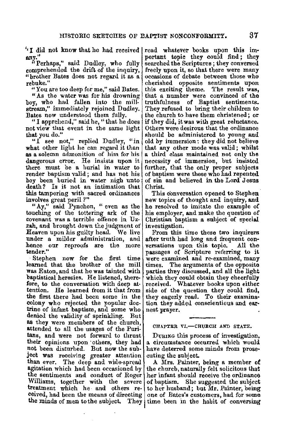"I did not know that he had received read whatever books upon this im**any."** 

"Perhaps," said Dudley, who fully comprehended the drift of the inquiry, " brother Bates does not regard it as a. rebuke.''

"You are too deep for me," said Bates.

"As the water was for his drowning boy, who had fallen into the millstream," immediately rejoined Dudley. Bates now understood them fully.

"I apprehend," said he, "that he does not view that event in the same light that you do."

"I see not," replied Dudley, "in what other light he can regard it than as a solemn admonition of him for his dangerous error. He insists upon it there must be a hurial in water to render baptism valid; and has not his boy been buried in water nigh unto death? Is it not an intimation that this tampering with sacred ordinances involves great peril *?* "

"Ay," said Pynchon, " even as the touching of the tottering ark of the covenant was a terrible offence in Uzzah, and brought down the judgment of Heaven upon his guilty head. We live under a milder administration, and hence our reproofs are the more **tender."** 

Stephen now for the first time<br>learned that the brother of the mill was Eaton, and that he was tainted with baptistical heresies. He listened, therefore, to the conversation with deep attention. He learned from it that from the first there had been some in the colony who rejected the popular doc• trine of infant baptism, and some who<br>denied the validity of sprinkling. But denied the validity of sprinkling. as they were members of the church, attended to all the usages of the Puritans, and were not forward to thrust their opinions upon others, they had not been disturbed. But now the subject was receiving greater attention than ever. The deep and wide-spread agitation which had been occasioned by the sentiments and conduct of Roger Williams, together with the severe treatment which he and others re• ceived, had been the means of directing the minds of men to the subject,

portant topic they could find ; they searched the Scriptures; they conversed freely upon it, so that there were many occasions of debate between those who cherished opposite sentiments upon this exciting theme. The result **was,**  that a number were convinced of the truthfulness of Baptist sentiments. They refused to bring their children to the church to have them christened; or if they did, it was with great reluctance. Others were desirous that the ordinance should be administered to young and old by immersion: they did not believe that any other mode was valid; whilst a third class maintained not only the necessity of immersion, but insisted further, that the only proper subjects of baptism were those who had repented of sin and believed in the Lord Jesus Christ.

This conversation opened to Stephen new topics of thought and inquiry, and he resolved to imitate the example of his employer, and make the question of Christian baptism a subject of special investigation.

From this time these two inquirers after truth had long and frequent conversations upon this topic. All the passages of Scripture referring to it were examined and re-examined, many times. The arguments of the opposite parties they discussed, and all the light which they could obtain they cheerfully received. Whatever books upon either side of the question they could find, they eagerly read. To their examination they addetl conscientious and earnest prayer.

CHAPTER VI.-CHURCH AND STATE.

Dunna this process of investigation, a circumstance occurred which would have deterred some minds from prosecuting the subject.

**A** Mrs. Painter, being a member **of**  the church, naturally felt solicitous that her infant should receive the ordinance of baptism. She suggested the subject to her husband; but Mr. Painter, being one of Bates's customers, had for some They time been in the habit of conversing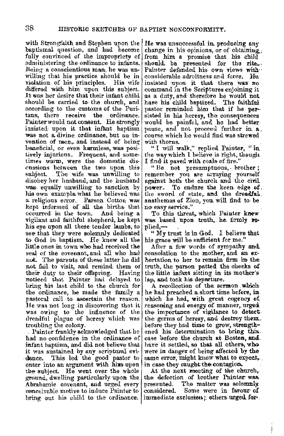with Strongfaith and Stephen upon the baptismal question, and had become fully convinced of the impropriety of administering the ordinance to infants. Being a conscientious man, he was un. willing that his practice should be in violation of his principles. His wife differed with him upon this subject. It was her desire that their infant child should be carried to the church, and according to the customs of the Puritans. there receive the ordinance. tans, there receive the Painter would not consent. He strongly insisted• upon it that infant baptism was not a divine ordinance, but an invention of men,. and instead of being beneficial, or even harmless, was positively injurious. Frequent, and sometimes warm, were the domestic disenssions between the two upon this subject. The wife was unwilling to disobey her husband, and the husband was. equally unwilling to sanction by his own example what he believed was. a. religious error. Parson Cotton was kept informed of" all the births- that occurred in the town. And being a vigilant and faithful shepherd, he kept his. eye upon all these tender lambs, to see that they were solemnly dedicated to God in baptism. He knew all the little ones in town who had received the seal of the covenant, and all who had not. The parents of these latter he did not fail to visit, and remind them of their duty to their offspring. Having noticed that Painter had delayed to bring his last child to the church for the ordinance, he made the family a pastoral call to ascertain the reason. He was not long in discovering that it was owing to the influence of the dreadful plague of heresy which was troubling the colony.

Painter frankly acknowledged that he had no confidence in the ordinance of infant baptism, and did not believe that it was sustained by any scriptural evidence. This led the good pastor to enter into an argument with him upon the subject. He went over the whole ground, dwelling particularly upon the Abrahamic covenant, and urged every conceivable motive to induce Painter to , bring, out his child to. the ordinance.

He was unsuccessful in. produeing any change in his opinions, or of obtaining. from him a promise that his- child should, be presented for the rite... Painter defended his own views with considerable adroitness and force. He. insisted ·upon it that there **was·** no command in the Scriptures enjoining it as a duty, and therefore he would not have his child bantized. The faithful. have his child baptized. pastor reminded him that if he persisted in his heresy, the consequences would be painful, and he had better pause, and not proceed further in. a. course which he would find was strewed with thorns.

" I will walk," replied Painter, " in the way which I believe is right, theuglt I find it paved with coals- of fire-."

" Be not presumptuous, brother; remember you are arraying yourself'. against both the church and the civil power. To endure the keen edge of. the sword of state, and the dreadful. anathemas of Zion, you will find to be no easy service."

To this threat, whieh Paiuter knew was based upon truth, he firmly replied,-

" My trust is in God. I believe that his grace will be sufficient for me."

After a few words of sympathy and consolation to the mother, and an exhortation to her to remain firm in the truth, the parson patted the cheeks of the little infant sitting in its mother's lap, and took his departure.

A recollection of the sermon . which, he had preached a short time before, in. which he had, with great cogency of. reasoning and energy of manner, urged. the importanee of vigilance to detect;. the germs of heresy, and destroy them. before they had time to grow, strengthened his determination to bring this. case before the church at Boston, and ... have it settled, so that all others, who were in danger of being affected, by the same error, might know what to expect,... in case they caught the contagion.

At the next meeting of the church,. the defection of brother Painter was, presented. The matter was solemnly. considered. Some were in favour· of. immediate exclusion; others urged for-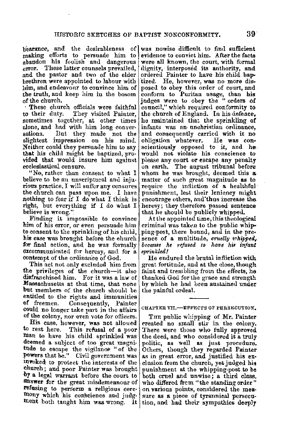b'earance, and the desirableness of making efforts to persuade him to abandon his foolish and dangerous error. These latter counsels prevailed, and the pastor and two of the elder brethren were appointed to labour with him, and endeavonr to convince him of the truth, aml keep him in the bosom of the church.

· These church officials were faithful They visited Painter, sometimes together, at other times alone, and hnd with him long conver• sations. But they made not the slightest impression on his mind. Neither could they persuade him to say **that** his chilcl might be baptized, provided that would insure him against

"No, rather than consent to what I believe to be an unscriptural and injurious practice, I will suffer any censures the church can pass upon me. I have nothing to fear if I do what I think is right, but everything if I do what I believe is wrong.'

Finding it impossible to convince him of his error, or even persuade him **to** consent to the sprinkling of his child, his case was brought before the church for final netion, and he was formally excommunicated for heresy, and for a contempt of the ordinance of God.

This act not only exclnded him from the privileges of the church-it also disfranchised him. For it was a law of<br>Massachusetts at that time, that none but members of the church should be entitled to the rights and immunities<br>of freemen. Consequently. Painter **Consequently, Painter** could no longer take part in the affairs of the colony, nor even vote for officers.

His case, however, was not allowed<br>to rest here. This refusal of a poor This refusal of a poor man to have his child sprinkled was deemed **a** subject of too great magnitnde to escape the vigilance "of the powers that be." Civil government was invoked to protect the interests of the church; and poor Painter was brought ·by **a** legal warrant before the court to **answer** for the great misdemeanour of refusing to perform a religious cercmony which his conscience and judgment both taught him was wwng. lt

was nowise difficult to find sufficient evidence to convict him. After the facts were all known, the court, with formal dignity, interposed its anthority, and orderetl Painter to have his child bap tized. He, however, was no more disposed to obey this order of court, and confom1 to Puritan usage, tban **his**  judges were to obey the " orders of council," which required conformity to the church of England. In his defence, lie maintained that the sprinkling of infants was nn- unchristian ordinance, and consequently carried with it no<br>obligation whatever. He was conobligation whatever. scientiously opposed to it, and he. would not violate his conscience to please any court or escape any penalty on earth. The august tribunal before whom he was brought, deemed this a. matter of such great magnitude as to require the infliction of a healthful punishment, lest their leniency might encourage others, and'thus increase the heresy; they therefore passed sentence that he should be publicly whipped.

At the appointed time, this theological criminal was taken to the public whip-<br>ping-post, there bound, and in the presence of a multitude, *cruelly whipped*, *because he 1·ejused lo have his infant ,prillkled/* 

He endured the brutal infliction with great fortitude, and at the close, though faint and trembling from the effects, he thanked God for the grace and strength by which he had been sustained under the painful ordeal.

#### CHAPTER VII.-EFFECTS OF PERSECUTION.

THE public whipping of **Mr.** Painter created no small stir in the colony. There were those who fully approved the deed, and who considered it a truly politic, as well as just procedure. Others, though they regarded Painter as in great error, and justified his ex• clusion from the church, yet judged his punishment at the whipping-post to be both cruel and unwise; a third class, who differed from "the standing order"<br>on various points, considered the measure as a piece of tyrannical persecution, and had their sympathies deeply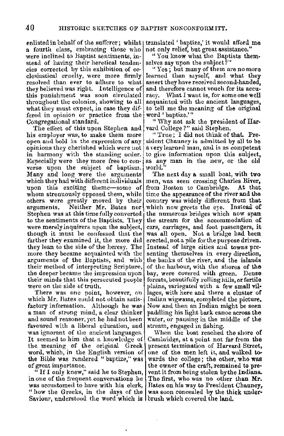a fourth class, embracing those who were inclined to Baptist sentiments, instead of having their heretical tenden- selves say upon the subject?" cies corrected by this exhibition of ec- clesiastical crnelty, were more firmly resolved than ever to adhere to what they believed was right. Intelligence of this punishment was soon circulated throughout the colonies, showing to all what they must expect, in case they differed in opinion or practice from the Congregational standard.

The effect of this upon Stephen and his employer was, to make them more open and hold in the expression of any opinions they cherished which were uot in harmony with the standing order. Especially were they more free to converse upon the subject of baptism. Many and long were the arguments which they had with different individuals upon this exciting theme-some of whom strenuously opposed them, while others were greatly moved by their arguments. Neither Mr. Bates nor Stephen was at this time fully converted to the sentiments of the Baptists. They were merely inquirers upon the subject, though it must be confessed that the farther they examined it, the more did they lean to the side of the heresy. The more they became acquainted with the arguments of the llaptists, and with their method of interpreting Scripture, the deeper became the impression upon their minds that this persecuted people were on the side of truth.

**There was one point, however, on**  which Mr. Bates could not obtain satisfactory information. Although he was a man of strong mind, a clear thinker and sound reasoner, yet he had not been favoured with a liberal education, and was ignorant of the ancient languages. It seemed to him that a knowledge of the meaning of the original Greek word, which, in the English version of the Bible was rendered " baptize," was of great importance.

 $\frac{a}{b}$  If I only knew," said he to Stephen, in one of the frequent conversations he was accustomed to have with his clerk, " how the Greeks, in the days of the Saviour, understood the word which is brush which covered the land.

enlisted in behalf of the sufferer; whilst  $\vert$  translated ' baptize,' it would afford me not only relief, hut great assistance."

"You know what the Baptists them-

"Yes; but many of them are no more learned than rnyself, and what they assert they have received second-handed, and therefore cannot vouch for its accuracy. What I want is, for some one well acquainted with the ancient languages, to tell me the meaning of **the** original word ' baptize.'"

" Why not ask the president of Harvard College ?" said Stephen.

" True; I did not think of that. President Chauncy is admitted by all to be a very learned man, and is as competent to give information upon this subject, as any man in the new, or the old worlu."

The next day a small boat, with two men, was seen crossing Charles River,<br>from Boston to Cambridge. At that from Boston to Cambridge. time the appearance of the river and the country was widely different from that which now greets the eye. Instead of the numerous bridges which now span the stream for the nccommodation **of**  cars, carriages, and foot passengers, **it** was all open. Not a bridge had been erected., not a pile for the purpose driven. Instead of large cities and towns presenting themselves in every direction, the banks of the river, and the islands ot' the harbour, with the shores of the bay, were covered with green. Dense forests, beautifully rolling hills, or fertile plains, variegated with a few small vil• lages, with here and there a cluster of Indian wigwams, completed the picture. Now and then an Indian might be seen paddling his light bark canoe across the water, or pausing in the middle of the stream, engaged in fishing.

When the boat reached the shore of Cambridge, at a point not far from the present termination of Harvard Street, one of the men left it, and walked **to**wards the college; the other, who was the owner of the craft, remained to pre• vent it from being stolen by the Indians. The first, who was no other than Mr. Bates on his way to President Channey, was soon concealed by the thick under-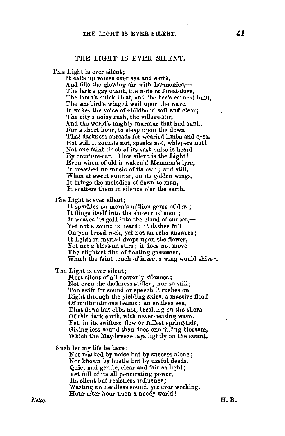#### THE LIGHT IS EVER SILENT.

THE Light is ever silent;

It calls up voices over sea and earth. And fills the glowing air with harmonies,— The lark's gay chant, the note of forest-dove, The lamb's quick bleat, and the bee's earnest hum,<br>The sea-bird's winged wail upon the wave. It wakes the voice of childhood soft and clear; The city's noisy rush, the village-stir, And the world's mighty murmur that had sunk, :For a short hour, to sleep upon the down That darkness spreads for wearied limbs and eyes, But still it sounds not, speaks not, whispers not! Not one faint throb of its vast pulse is heard Dy creature-ear. How silent is the Light! Even when of old it waken'd Memnon's lyre, It breathed no music of its own; and still, When at sweet sunrise, on its golden wings, It brings the melodies of dawn to man, It scatters them in silence o'er the earth.

The Light is ever silent;

It sparkles on morn's million gems of dew; It flings itself into the shower of noon; .It weaves its gold into the cloud of sunset. $-$ Yet not a sound is heard; it dashes full On yon broad rock, yet not an echo answers; It lights in myriad drops upon the flower, Yet not a blossom stirs; it does not move<br>The slightest film of floating gossamer, Which the faint touch of insect's wing would shiver.

The Light is eyer silent;

Most silent of a11 heavenly silences; Not even the darkness stiller; nor so still;<br>Too swift for sound or speech it rushes on Right through the yielding skies, a massive flood Of multitudinous beams: an endless sea., That flows but ebbs not, breaking on the shore<br>Of this dark earth, with never-ceasing wave. Yet, in its swiftest flow or fullest spring-tide, Giving less sound than does one falling blossom, Which the May-breeze lays lightly on the sward.

Such let my life be here;

Not marked by noise hut by success alone; Not known by bustle but by useful deeds. Quiet and gentle, clear and fair as light; Yet full of its all penetrating power, Its silent but resistless influence; Wasting no needless sound, yet ever working, Hour after hour upon **a.** needy world !

*Kelso,*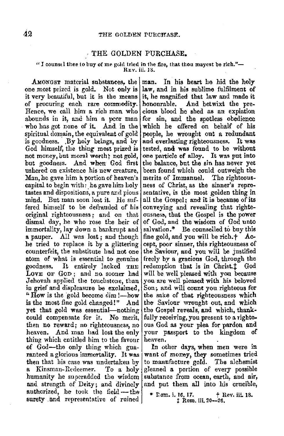#### THE GOLDEN PURCHASE.

## "I counsel thee to buy of me gold tried in the fire, that thou mayest be rich."- $R_{EV}$ , iii. 18.

one most prized is gold. Not only is law, and in his sublime fulfilment of it very beautiful, but it is the means it, he magnified that law and made it of procuring each rare commodity. honourable. And betwixt the pre-<br>Hence, we call him a rich man who cious blood he shed as an explation Hence, we call him a rich man who abounds in it, and him a pcor man for sin, and the spotless obedience who has got none of it. And in the which he offered on behalf of his spiritual domain, the equivalent of gold people, he wrought out a redundant spiritual domain, the equivalent of gold people, he wrought out a redundant spiritual people. By holy beings, and by and everlasting righteousness. is goodness. .By holy beings, and by and everlasting righteousness. It was God himself, the thing most prized is tested, and was found to be without God himself, the thing most prized is not money, but moral worth; net gold, one particle of alloy. It was put into but goodness. And when God first the balance, but the sin has never yet but goodness. And when God first ushered on existence his new creature, been found which could outweigh the Man, he gave him a portion of heaven's merits of Immanuel. The righteous-Man, he gave him a portion of heaven's capital to begin with: he gave him holytastes and dispositions, a pure and pious sentative, is the most golden thing in mind. But man soon lost it. He snf- all the Gospel; and it is because of **its**  fered himself to be defranded of his conveying and revealing that righte-<br>original righteousness; and on that ousness, that the Gospel is the power dismal day, he who rose the heir of  $\vert$  of God, and the wisdom of God unto immortality, lay down a bankrupt and salvation.<sup>\*</sup> Be counselled to buy this immortality, lay down a bankrupt and **a** pauper. All was lost: and though fine gold, and you will be rich.<sup>+</sup> Ache tried to replace it by a glittering cept, poor sinner, this righteousness of counterfeit, the substitute had not one the Saviour, and you will be justified atom of what is essential to genuine freely by a gracious God, through the goodness. It entirely lacked THE redemotion that is in Christ.1 God goodness. It entirely lacked THE redemption that is in Christ. $\ddagger$  God LOVE OF GOD; and no sooner had will be well pleased with you because LOVE OF GOD; and no sooner had Jehovah applied the touchstone, than you are well pleased with his beloved in grief and displeasure he exclaimed,  $\text{Son}$ ; and will count you righteous for "How is the gold become dim !--how the sake of that righteousness which is the most fine gold changed!" And the Saviour wrought out, and which yet that gold was essentiaI-nothing the Gospel reveals, and which, thankcould compensate for it. No merit, fully receiving, you present to a rightethen no reward; no righteousness, no ous God as your plea for pardon and heaven. And man had lost the only your passport to the kingdom of thing which entitled him to the favour heaven. thing which entitled him to the favour of God-the only thing which gua- In other days, when men were in ranteed a glorious immortality. It was want of money, they sometimes tried then that his case was undertaken by to manufacture gold. The alchemist a Kinsman-Redeemer. To a holy gleaned a portion of every possible humanity he superadded the wisdom substance from ocean, earth, and air, and strength of Deity; and divinely  $[$  and put them all into his crucible, authorized, he took the field --- the  $\begin{array}{c|c|c|c|c|c|c|c} \text{sum. i. 10, 17.} & & \text{flex. ii. 18.} \\ \text{survey and representative of rained} & & \text{1 Rom. iii. 20--26.} \end{array}$ surety and representative of ruined

AMONGST material substances, the man. In his heart he hid the holy it, he magnified that law and made it honourable. And betwixt the preness of Christ, as the sinner's repreousness, that the Gospel is the power the Saviour wrought out, and which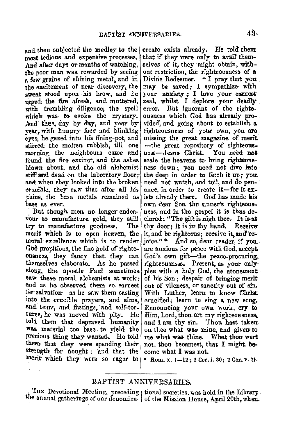most tedious and expensive processes. And after days or months of watching, the noor man was rewarded by seeing a few grains of shining metal, and in the excitement of near discovery, the sweat stood upon his brow, and he proved the fire afresh, and muttered, with trembling diligence, the spell which was to evoke the mystery. And thus, day by day, and year by vear with hungry face and blinking eves, he gazed into his fining-pot, and stirred the molten rubbish, till one morning the neighbours came and found the fire extinct, and the ashes hlown about, and the old alchemist stiff and dead on the laboratory floor; and when they looked into the broken cracible, they saw that after all his pains, the base metals remained as base as ever.

But though men no longer endeavour to manufacture gold, they still try to manufacture goodness. The merit which is to open heaven, the moral excellence which is to render God propitious, the fine gold of righteousness, they fancy that they can themselves elaborate. As he passed along, the apostle Paul sometimes saw these moral alchemists at work: and as he observed them so earnest for salvation—as he saw them casting into the crucible prayers, and alms. and tears, and fastings, and self-tortures, he was moved with pity. He told them that depraved humanity was material too base to yield the precious thing they wanted. He told them that they were spending their strength for nought; and that the merit which they were so eager to

and then subjected the medley to the | create exists already. He told them that if they were only to avail themselves of it they might obtain, without restriction, the righteousness of a. Divine Redeemer. "I pray that you may be saved; I sympathize with your anxiety; I love your earnest zeal, whilst I deplore your deadly But ignorant of the rightserror. ousness which God has already provided, and going about to establish a righteousness of your own, you are. missing the great magazine of merit. -the great repository of righteousness-Jesus Christ. You need not scale the heavens to bring righteonsness down; you need not dive into the deep in order to fetch it up; you need not watch, and toil, and do penance, in order to create it-for it exists already there. God has made his own dear Son the sinner's righteousness, and in the gospel it is thus declared: "The gift is nigh thee. It is at thy door; it is in thy hand. Receive it, and be righteous; receive it, and rejoice."\* And so, dear reader, if you. are anxious for peace with God. accent. God's own gift-the peace-procuring righteousnsss. Present, as your only plea with a holy God, the atonement of his Son; despair of bringing merit out of vileness, or sanctity out of sin. With Luther, learn to know Christ, crucified; learn to sing a new song. Renouncing your own work, cry to Him, Lord, thou art my righteousness, and I am thy sin. Thou hast taken. on thee what was mine, and given to me what was thine. What thou wert not, thou becamest, that I might become what I was not.

Rom. x. 1-12; 1 Cor. i. 30; 2 Cor. v. 21.

#### BAPTIST ANNIVERSARIES.

THE Devotional Meeting, preceding | tional societies, was held in the Library the annual gatherings of anr denomina- of the Mission House, April 20th, when.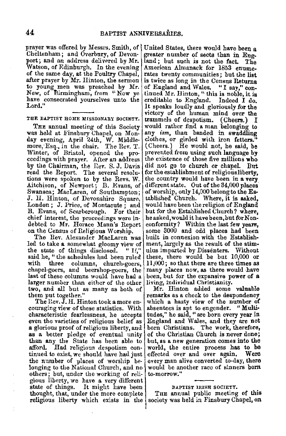prayer was offered by Messrs. Smith, of Cheltenham; and Overbnry, of Devonport; and an address delivered by Mr. Watson, of Edinburgh. In the evening of the same day, at the Poultry Chapel, after prayer by Mr. Hinton, the sermon to young men was preached by Mr. New, of Birmingham, from "Now ye have consecrated yourselves unto the Lord,"

#### THE BAPTIST HOME MISSIONARY SOCIETY.

THE annual meeting of this Society was held at Finsbury Chapel, on Monday evening, April 24th, W. Middle-more,·E8q., in the chair. The Rev. T. Winter, of Bristol, opened the proceedings with prayer, After an address by the Chairman, the Rev. S. J. Davis read the Report. The several resolutions were spoken to by the Revs. W. Aitchison, of Newport; B. Evans, of Swansea; MacLaren, of Southampton; J. H. Hinton, of Devonshire Square, London; J. Price, of Montacute: and B. Evans, of Scarborough. For their chief interest, the proceedings were in-<br>debted to Mr. Horace Mann's Report on the Census of Religious Worship.<br>The Rev. Alexander MacLaren was

Ied to take a somewhat gloomy view of the state of things disclosed. "If," the state of things disclosed. said he, "the schedules had been ruled<br>with three columns, church-goers, with three columns, church-goers, chapel-goers, and beershop-goers, the last of these columns would have had a larger number than either of the other two, and all but as many as both of them put together."

The Rev.  $\tilde{J}$ . H. Hinton took a more encouraging view of these statistics. With characteristic fearlessness, he accepts even the varieties of religious belief as **a** glorious proof of religious liberty, and **as a** better pledge of eventual unity than any the State has been able to afford. Had religious despotism con-Had religious despotism continued to exist, we should have had just the number of places of worship be-<br>longing to the National Church, and no others; but, under the working of religious liberty, we have a very different state of things. It might have been thought, that, under the more complete religious liberty which exists in the

United States, there would have been a greater number of sects than in Eng-<br>land; but such is not the fact. The land; but such is not the fact. The<br>American Almanack for 1853 enumerates twenty communities; but the list is twice as long in the Census Returns<br>of England and Wales. "I say," continued Mr. Hinton, "this is noble, it is creditable to England. Indeed I do. creditable to England. It speaks loudly and gloriously for the victory of the human mind over the<br>trammels of despotism. (Cheers.) I trammels of despotism. would rather find **a** man belonging to any *ism,* than banded in swaddling clothes, or girded with iron fetters." (Cheers.) He would not, he said, be prevented from using such language **by**  the existence of those five millions who did not go to church or chapel. But for the establishment of religious liberty, the country would have been in **a very**  different state. Out of the 34,000 places of worship, only 14,000 belong to the Es-<br>tablished Church. Where, it is asked. Where, it is asked, would have been the religion of England but for the Established Church? where, he asked, would it have been, but for Non-<br>conformity? Within the last few years, some 3000 and odd places had been built in connexion with the Establishment, largely as the result of the stimulus imparted by Dissenters. Without<br>these, there would be but 10,000 or 11,000; so that there are three times as many places now, as there would have been, hut for the expansive power of a living, individual Christianity.

Mr. Hinton added some valuable remarks as a check to the despondency which a hasty view of the number of absentees is apt to engender. "Multi• tudes," he said, "are born every year in England and Wales, and they are not born Christians. The work, therefore, of the Christian Church is never done; but, as **a** new generation comes into the world, the entire process has to be effected over and over again, **Were**  every man alive converted to-day, there would be another race of sinners born to-morrow."

#### DAPTIST IRISH SOCIETY,

THE annual public meeting of this society was held in Finsbury Chapel, on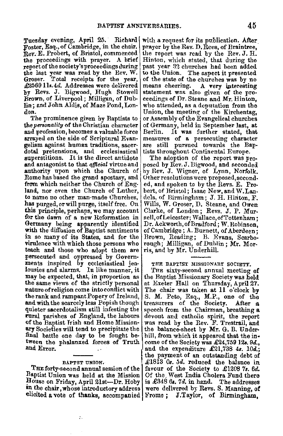Tuesday evening, April 25. foster, Esq., of Cambridge, in the chair. Rev. E. Probert, of Bristol, commenced the proceedings with prayer. A brief ;report of the society's proceedings during the last year was read by the Rev. W.<br>Groser. Total receipts for the year, £2569 11s.4d. Addresses were delivered by Revs. J. Bigwood, Hugh Stowell Brown, of Liverpool; Milligan, of Dub• Jin; and John Aldis, of Maze Pond, Lon• don.

The prominence given by Raptists to the *personality* of the Christian character and profession, becomes a valuable force arrayed on the side of Scriptural Evangelism against human traditions, sacer• dotsl pretensions, and ecclesiastical superstitions. It is the direct antidote **and** antagonist to that *official* virtue and authority upon which the Church of Rome has based the grand apostasy, and from which neither the Church of England, nor even the Church of Luther, to name no other man-made Churches, **has** purged, or will purge, itself free. On **this** principle, perhaps, we may account for the dawn of a new Reformation in Germany being apparently identified with the diffusion of Baptist sentiments in so many of its States, and for the virulence with which those persons who teach and those who adopt them are persecuted and oppressed by Governments inspired by ecclesiastical jea• lousies and alarms. In like manner, it may be expected, that, in proportion as the same views of the strictly personal nature of religion come into conflict with the rank and rampant Popery of Ireland, and with the scarcely less Popish though quieter sacerdotalism still infesting the rural parishes of England, the labours -of the Baptist Trish and Home Mission• **ary** Societies will tend to precipitate the final battle one day to be fought between the phalanxed forces of Truth and Error.

#### BAPTST UNION.

THE forty-second annual session of the Baptist Union was held at the Mission House on Friday, April 21st-Dr. Hoby in the chair, whose introductory address

 $\ddot{\cdot}$ 

Richard | with a request for its publication. After prayer by the Rev. D. Rees, of Braintree, the report was read by the Rev. J. H. Hinton, which stated, that during the past year *:32* chnrches had been added to the Union. The aspect it presented of the state of the churches was by no<br>means cheering. A very interesting A very interesting. statement was also given of the pro• ceedings of Dr. Steane and Mr. Hinton, who attended, as a deputation from the Union, the m\_eeting of the Kirchentag, or Assembly of the Evangelical churches of Germany, held in September last, at It was further stated, that measures of a persecuting character are still pursued towards the Baptists throughout Continental Europe.

> The adoption of the report was proposed by Rev. J. Bigwood, and seconded by Bev. J. Wigner, of Lynn, Norfolk. Other resolutions were proposed,seconded, and spoken to by the Revs. E. Pro• bert, of Bristol; Isaac New, and W.Lanilels, of Birmingham; J. H. Hiriton, F. Wills, W. Groser, D. Steane, and Owen Clarke, of London; Revs. J. P. Mursell, of Leicester; Wallace, of Tottenham; Dr. Ackworth, of Bradford; W. Robinson, of Cambridge ; A. Burnett, of Aberdeen; Brown, Reading; B. Evans, Scarborough; Milligan, of Duhlin; Mr. Morris, and by Mr. Underhill.

#### THE BAPTIST MISSIONARY SOCIETY.

elicited a vote of thanks, accompanied Frome; J.Taylor, of Birmingham, THE sixty-second annual meeting of the Raptist Missionary Society was held at Exeter Hall on Thursday, April 27. The chair was taken at 11 o'clock by S. M. Peto, Esq., M.P., one of the treasurers of the Society. After **a** speech from the Chairman, breathing **a** devout and catholic spirit, the report was read by the Rev. F. Trestrail, and the balance-sheet by **Mr.** G, B. Underhill, from which it appeared that the in• come of the Society was £24,759 12s. 9d., and the expenditure  $\pounds 21,738$  4s.  $10d$ . the payment of an outstanding debt of £1813 Os. 5d. reduced the balance in favour of the Society to £1208 *7a. 6d.*  Of the. West India Cholera Fund there is  $\pounds 348$   $6s$ ,  $7d$ , in hand. The addresses were delivered by Revs. S. Manning, of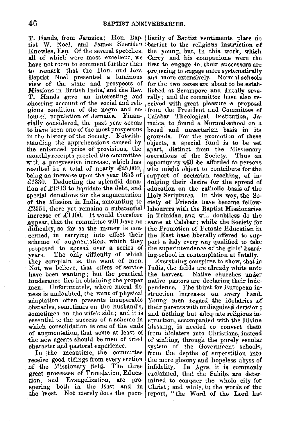T. Hands, from Jamaica; Hon. Bap- liarity of Baptist sentiments place no tist W. Noel, and James Sheridan Knowles, Esq. Of the several speeches, all of which were most excellent, we have not room to comment further than .to remark that the Hon. and Hev. Baptist Noel presented. a luminous view of the state and prospects of Missions in British India, and the Rev. T. Hands gave an interesting and cheering account of the social and reli-<br>gious condition of the negro and coloured population of Jamaica. Financially considered, the past year seems to have been one of the most prosperous in the history of the Society. Notwithstanding the apprehensions caused by the enhanced price of provisions, the monthly receipts greeted the committee with a progressive increase, which has resulted in a total of nearly £25,000, being an increase upon the year 1853 of £6330. Deducting the splendid donation of  $\pounds$ 1813 to liquidate the debt, and special donations for the augmentation of the Mission in India, amounting to  $£2551$ , there yet remains a substantial increase of  $£1400$ . It would therefore **, appear, that the committee will have no difficulty, so far as the money is con**difficulty, so far as the money is con-<br>cerned, in carrying into effect their<br>scheme of augmentation, which they proposed to spread over a series of years. The only difficulty of which they complain is, the want of men. Not, we believe, that offers of service have been wanting ; but the practical hinderance lies in obtaining the proper men. Unfortunately, where moral fitness is undoubted, the want of physical adaptation often presents insuperable obstacles, sometimes on the husband's, sometimes on the wife's side; and it is essential to the success of a scheme in which consolidation is one of the ends of aucrmeutation, that some at least of the new agents should be men of tried character and pastoral experience.

In the meantime, the committee receive good tidings from every section of the Missionary field. The three great processes of Translation, Education, and Evangelization, are prospering both in the East and in the West. Not merely does the peen-

barrier to the religious instruction of the young, but, in this work, which Carey and his companions were the first to engage in, their successors are preparing to engage more systematically and more extensively. Normal schools for the two sexes are about to be established at Serampore and Intally seve- rally ; and the committee have also ~- ceive<l. with .great pleasure **a** proposal from the President and Committee of Calabar 'l'heological Institution, Jamaica, to found a Normal-school on a broad and unsectarian basis **in** its grounds. For the promotion of these objects, a special fund is to be set apart, distinct from the Missionary operations of the Society. Thus an opportunity **will** be affonled to persons who might object to contribute for the support of sectarian teaching, of indulging their desire for the spread of education on the eatholic basis of the Holy Scriptures. In this way, the Society of Friends have become fellowlabourers with the Baptist Missionaries in Trinidad, and will doubtless do the same at Calabar: while the Society for the Promotion of 'Female Edueation in the East have liberally offered to support a lady every way qualified to take the superintendence of the girls' hoarcling-school in contemplation at Intally.

Everything conspires to show, that in India, the fields are already white unto the harvest. Native churches under native pastors are declaring their independence. The thirst for European instruction increases on every hand. Young men regard the idolatries of their parents with undisguised derision; and nothing but adequate religious instruction, accompanied with the Divine blessing, is needed to convert them from idolaters into Christians, instead of sinking, through the purely secular system of the Government schools, from the depths of superstition into the more gfoomy and hopeless abyss of infidelity, In. Agra, it is commonly exclaimed, that the Sahibs are determined to conquer the whole city for Christ; and while, in the words of the report, "the Word of the Lord has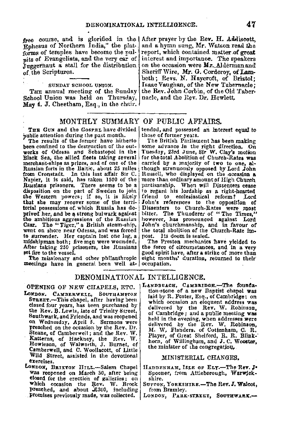free course, and is glorified in the After prayer by the Rev. H. Addiscott, Rohesus of Northern India," the plate and a hymn sung, Mr. Watson read the  $E$ phesus of Northern India," the plate and a hymn sung, Mr. Watson read the correct state is also become the pull- report, which contained matter of great forms of temples have become the pul- report, which contained matter of great nits of Evangelists, and the very car of interest and importance. The speakers pits of Evangelists, and the very car of interest and importance. The speakers  $\overline{\mathbf{J}}$  negernant a stall for the distribution on the occasion were  $\mathbf{M}\mathbf{r}$ . Alderman and Juggernaut a stall for the distribution of the Scriptures.

School Union was held on Thursday, **May 4.** J. Cheetham, Esq., in the chair.

#### MONTHLY SUMMARY OF PUBLIC AFFAIRS.

THE GUN and the Gosper have divided [ public attention during the past month.

The results of the former have hitherto been confined to the destruction of the outworks of Odessa and Sebastopol in the Black Sea, the allied fleets taking several mercharit-ships as prizes, and of one of the Russian forts in the Baltic, about 25 miles from Cronstadt. In this last affair Sir C. Napier, it is said, has taken 1500 of the Russians prisoners. There seems to be a disposition on the part of Sweden to join the Western powers; if so, it is likely that she may recover some of the territorial possessions of. which Russia has deprived her, and be a strong bulwark against the ambitious aggressions of the Russian Czar. The "Tiger," a British steam-ship, went on shore near Odessa, and was forced<br>to surrender. Her captain lost one leg, a<br>midshipman both; five men were wounded. After taking 250 prisoners, the Russians **set** fire to the vessel.

The missionary and other philanthropic meetings have in general been well at-occupation,

Sheriff Wire, Mr. G. Corderoy, of Lambeth; Revs. N. Haycroft, of Bristol; sunnar school union. Isaac Vaughan, of the New Tabernacle; The annual meeting of the Sunday the Rev. John Corbin, of the Old Taberthe Rev. John Corbin, of the Old Taber-<br>nacle, and the Rev. Dr. Hewlett.

# tended, and possessed an interest equal to<br>those of former years.<br>The British Parliament has been making

some advance in the right direction. On Tuesday, 23rd June, Sir **W.** Clay's motion for .the total ,Abolition of Chureb-Ratea **was** carried by a inajority of **two** to one, although strenuously opposed by Lord John Russell, who displayed on the occasion a more than ordinary amount of High Church<br>partisanship. When will Dissenters cease to regard his lordship as a right-hearted<br>friend to ecclesiastical reform? Lord friend to ecclesiastical reform? John's references to the opposition **of**  bitter. The Thunderer of "The Times." however, has pronounced against Lord John's cburchmanship, and in favour of the total abolition of the Church-Rate impost. lts doom is sealed.

The Preston mechanics have yielded to the force of circumstances, and in **a very**  good spirit have, after **a** strike of more than eight months' duration, returned to their

#### DENOMINATION AL INTELLIGENCE.

OPENING OF NEW CHAPELS, ETC.

- LONDON, CAMBERWELL, SOUTHAMPTON STREET.-This chapel, after having been closed four years, has been purchased by the Rev. B. Lewis, late of Trinity Street,<br>Southwark, and Friends, and was reopened on Wednesday, April 5. Sermons were preached on the occasion by the Rev. Dr. Steane, of Camberwell; and the Rev. W.<br>Katterns, of Hackney, the Rev. W.<br>Howieson, of Walworth; J. Burnet, of<br>Camberwell, and C. Woollacott, of Little Wild Street, assisted in the devotional exercises.
- LONDON, BRIXTON HILL.-Salem Chapel was reopened on March SO, after being closed for the erection of galleries; on which occasion the Rev. W. Brock preached, and about .£300, including promises previously made, was collected,

LANDBEACH, CAMBRIDGE.-The founda-<br>tion-stone of a new Baptist chapel was laid by R. Foster, Esq., or Cambridge; on which occasion an eloquent address was delivered by the Rev. W. Robinson, of Cambridge; and a public meeting was of Cambridge; and a public meeting was<br>held in the evening, when addresses were<br>delivered by the Rev. W. Robinson,<br>M. W. Flanders. of Cottenham, C. R.<br>Player, of Great Shelford, R. R. Blink-<br>horn, of Willingham, and J. C. the minister of the congregation.

#### MINlSTERIAL CHANGES,

- HADDENHAM. ISLE OF ELY.-The Rev. J. Spooner, from Attleborough, Warwjckshire.
- Surrow, YorksHIRE.-The Rev. J. Walcot, from Bramley.
- LONDON, PARK-STREET, SOUTHWARK.-